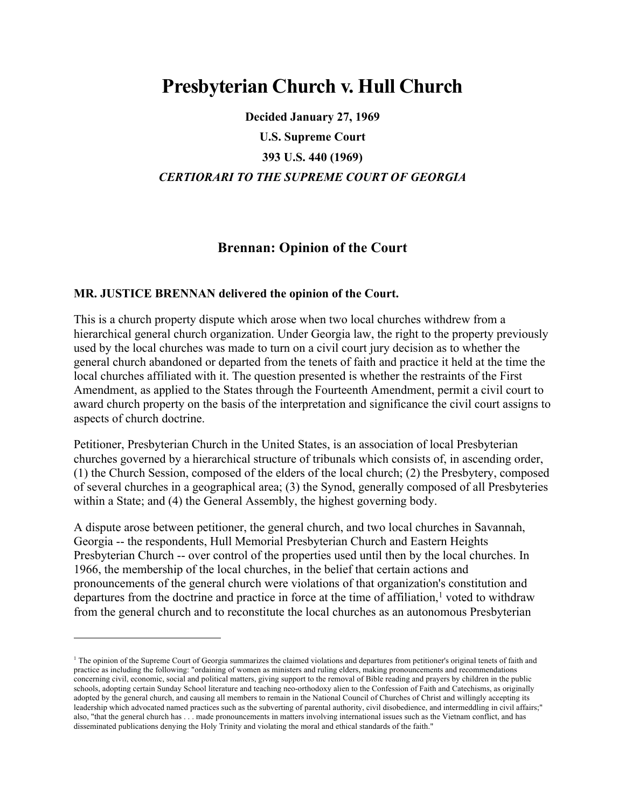## **Presbyterian Church v. Hull Church**

**Decided January 27, 1969 U.S. Supreme Court 393 U.S. 440 (1969)** *CERTIORARI TO THE SUPREME COURT OF GEORGIA*

## **Brennan: Opinion of the Court**

## **MR. JUSTICE BRENNAN delivered the opinion of the Court.**

<u>.</u>

This is a church property dispute which arose when two local churches withdrew from a hierarchical general church organization. Under Georgia law, the right to the property previously used by the local churches was made to turn on a civil court jury decision as to whether the general church abandoned or departed from the tenets of faith and practice it held at the time the local churches affiliated with it. The question presented is whether the restraints of the First Amendment, as applied to the States through the Fourteenth Amendment, permit a civil court to award church property on the basis of the interpretation and significance the civil court assigns to aspects of church doctrine.

Petitioner, Presbyterian Church in the United States, is an association of local Presbyterian churches governed by a hierarchical structure of tribunals which consists of, in ascending order, (1) the Church Session, composed of the elders of the local church; (2) the Presbytery, composed of several churches in a geographical area; (3) the Synod, generally composed of all Presbyteries within a State; and (4) the General Assembly, the highest governing body.

A dispute arose between petitioner, the general church, and two local churches in Savannah, Georgia -- the respondents, Hull Memorial Presbyterian Church and Eastern Heights Presbyterian Church -- over control of the properties used until then by the local churches. In 1966, the membership of the local churches, in the belief that certain actions and pronouncements of the general church were violations of that organization's constitution and departures from the doctrine and practice in force at the time of affiliation, $<sup>1</sup>$  voted to withdraw</sup> from the general church and to reconstitute the local churches as an autonomous Presbyterian

 $<sup>1</sup>$  The opinion of the Supreme Court of Georgia summarizes the claimed violations and departures from petitioner's original tenets of faith and</sup> practice as including the following: "ordaining of women as ministers and ruling elders, making pronouncements and recommendations concerning civil, economic, social and political matters, giving support to the removal of Bible reading and prayers by children in the public schools, adopting certain Sunday School literature and teaching neo-orthodoxy alien to the Confession of Faith and Catechisms, as originally adopted by the general church, and causing all members to remain in the National Council of Churches of Christ and willingly accepting its leadership which advocated named practices such as the subverting of parental authority, civil disobedience, and intermeddling in civil affairs;" also, "that the general church has . . . made pronouncements in matters involving international issues such as the Vietnam conflict, and has disseminated publications denying the Holy Trinity and violating the moral and ethical standards of the faith."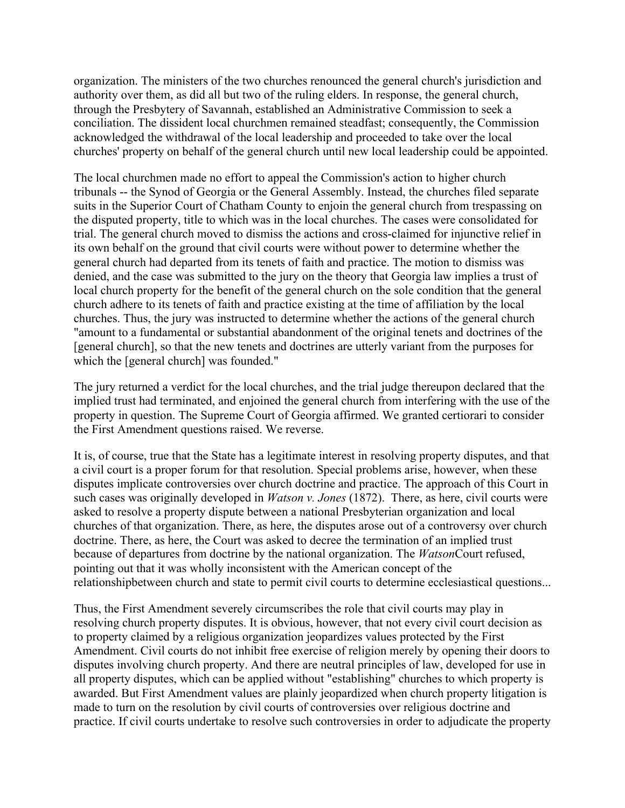organization. The ministers of the two churches renounced the general church's jurisdiction and authority over them, as did all but two of the ruling elders. In response, the general church, through the Presbytery of Savannah, established an Administrative Commission to seek a conciliation. The dissident local churchmen remained steadfast; consequently, the Commission acknowledged the withdrawal of the local leadership and proceeded to take over the local churches' property on behalf of the general church until new local leadership could be appointed.

The local churchmen made no effort to appeal the Commission's action to higher church tribunals -- the Synod of Georgia or the General Assembly. Instead, the churches filed separate suits in the Superior Court of Chatham County to enjoin the general church from trespassing on the disputed property, title to which was in the local churches. The cases were consolidated for trial. The general church moved to dismiss the actions and cross-claimed for injunctive relief in its own behalf on the ground that civil courts were without power to determine whether the general church had departed from its tenets of faith and practice. The motion to dismiss was denied, and the case was submitted to the jury on the theory that Georgia law implies a trust of local church property for the benefit of the general church on the sole condition that the general church adhere to its tenets of faith and practice existing at the time of affiliation by the local churches. Thus, the jury was instructed to determine whether the actions of the general church "amount to a fundamental or substantial abandonment of the original tenets and doctrines of the [general church], so that the new tenets and doctrines are utterly variant from the purposes for which the [general church] was founded."

The jury returned a verdict for the local churches, and the trial judge thereupon declared that the implied trust had terminated, and enjoined the general church from interfering with the use of the property in question. The Supreme Court of Georgia affirmed. We granted certiorari to consider the First Amendment questions raised. We reverse.

It is, of course, true that the State has a legitimate interest in resolving property disputes, and that a civil court is a proper forum for that resolution. Special problems arise, however, when these disputes implicate controversies over church doctrine and practice. The approach of this Court in such cases was originally developed in *Watson v. Jones* (1872). There, as here, civil courts were asked to resolve a property dispute between a national Presbyterian organization and local churches of that organization. There, as here, the disputes arose out of a controversy over church doctrine. There, as here, the Court was asked to decree the termination of an implied trust because of departures from doctrine by the national organization. The *Watson*Court refused, pointing out that it was wholly inconsistent with the American concept of the relationshipbetween church and state to permit civil courts to determine ecclesiastical questions...

Thus, the First Amendment severely circumscribes the role that civil courts may play in resolving church property disputes. It is obvious, however, that not every civil court decision as to property claimed by a religious organization jeopardizes values protected by the First Amendment. Civil courts do not inhibit free exercise of religion merely by opening their doors to disputes involving church property. And there are neutral principles of law, developed for use in all property disputes, which can be applied without "establishing" churches to which property is awarded. But First Amendment values are plainly jeopardized when church property litigation is made to turn on the resolution by civil courts of controversies over religious doctrine and practice. If civil courts undertake to resolve such controversies in order to adjudicate the property